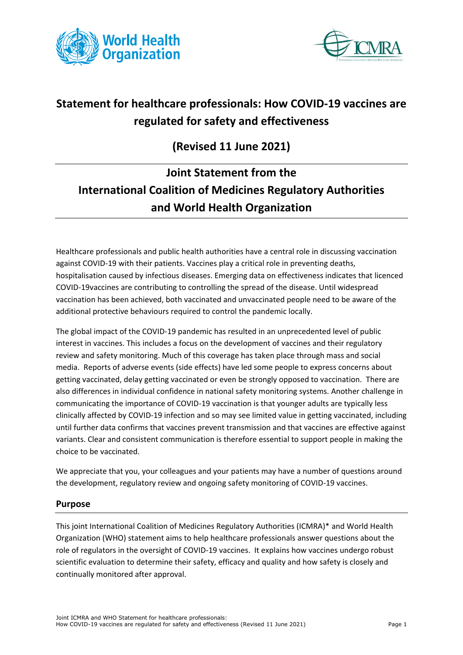



# **Statement for healthcare professionals: How COVID-19 vaccines are regulated for safety and effectiveness**

## **(Revised 11 June 2021)**

# **Joint Statement from the International Coalition of Medicines Regulatory Authorities and World Health Organization**

Healthcare professionals and public health authorities have a central role in discussing vaccination against COVID-19 with their patients. Vaccines play a critical role in preventing deaths, hospitalisation caused by infectious diseases. Emerging data on effectiveness indicates that licenced COVID-19vaccines are contributing to controlling the spread of the disease. Until widespread vaccination has been achieved, both vaccinated and unvaccinated people need to be aware of the additional protective behaviours required to control the pandemic locally.

The global impact of the COVID-19 pandemic has resulted in an unprecedented level of public interest in vaccines. This includes a focus on the development of vaccines and their regulatory review and safety monitoring. Much of this coverage has taken place through mass and social media. Reports of adverse events (side effects) have led some people to express concerns about getting vaccinated, delay getting vaccinated or even be strongly opposed to vaccination. There are also differences in individual confidence in national safety monitoring systems. Another challenge in communicating the importance of COVID-19 vaccination is that younger adults are typically less clinically affected by COVID-19 infection and so may see limited value in getting vaccinated, including until further data confirms that vaccines prevent transmission and that vaccines are effective against variants. Clear and consistent communication is therefore essential to support people in making the choice to be vaccinated.

We appreciate that you, your colleagues and your patients may have a number of questions around the development, regulatory review and ongoing safety monitoring of COVID-19 vaccines.

## **Purpose**

This joint International Coalition of Medicines Regulatory Authorities (ICMRA)\* and World Health Organization (WHO) statement aims to help healthcare professionals answer questions about the role of regulators in the oversight of COVID-19 vaccines. It explains how vaccines undergo robust scientific evaluation to determine their safety, efficacy and quality and how safety is closely and continually monitored after approval.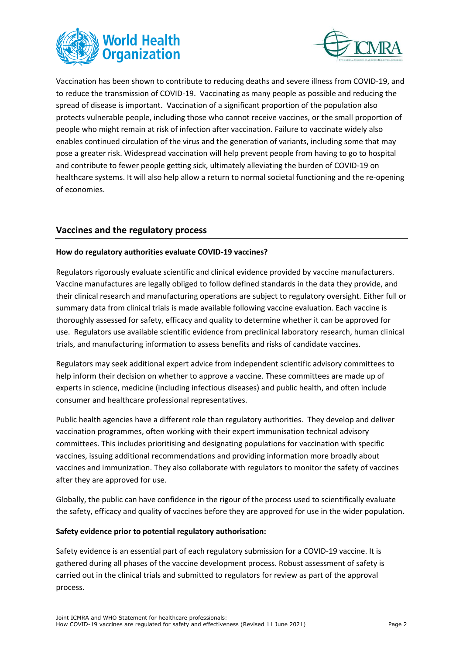



Vaccination has been shown to contribute to reducing deaths and severe illness from COVID-19, and to reduce the transmission of COVID-19. Vaccinating as many people as possible and reducing the spread of disease is important. Vaccination of a significant proportion of the population also protects vulnerable people, including those who cannot receive vaccines, or the small proportion of people who might remain at risk of infection after vaccination. Failure to vaccinate widely also enables continued circulation of the virus and the generation of variants, including some that may pose a greater risk. Widespread vaccination will help prevent people from having to go to hospital and contribute to fewer people getting sick, ultimately alleviating the burden of COVID-19 on healthcare systems. It will also help allow a return to normal societal functioning and the re-opening of economies.

## **Vaccines and the regulatory process**

#### **How do regulatory authorities evaluate COVID-19 vaccines?**

Regulators rigorously evaluate scientific and clinical evidence provided by vaccine manufacturers. Vaccine manufactures are legally obliged to follow defined standards in the data they provide, and their clinical research and manufacturing operations are subject to regulatory oversight. Either full or summary data from clinical trials is made available following vaccine evaluation. Each vaccine is thoroughly assessed for safety, efficacy and quality to determine whether it can be approved for use. Regulators use available scientific evidence from preclinical laboratory research, human clinical trials, and manufacturing information to assess benefits and risks of candidate vaccines.

Regulators may seek additional expert advice from independent scientific advisory committees to help inform their decision on whether to approve a vaccine. These committees are made up of experts in science, medicine (including infectious diseases) and public health, and often include consumer and healthcare professional representatives.

Public health agencies have a different role than regulatory authorities. They develop and deliver vaccination programmes, often working with their expert immunisation technical advisory committees. This includes prioritising and designating populations for vaccination with specific vaccines, issuing additional recommendations and providing information more broadly about vaccines and immunization. They also collaborate with regulators to monitor the safety of vaccines after they are approved for use.

Globally, the public can have confidence in the rigour of the process used to scientifically evaluate the safety, efficacy and quality of vaccines before they are approved for use in the wider population.

#### **Safety evidence prior to potential regulatory authorisation:**

Safety evidence is an essential part of each regulatory submission for a COVID-19 vaccine. It is gathered during all phases of the vaccine development process. Robust assessment of safety is carried out in the clinical trials and submitted to regulators for review as part of the approval process.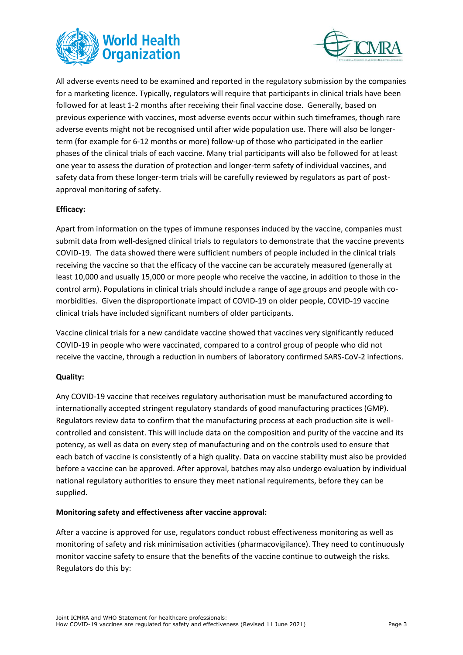



All adverse events need to be examined and reported in the regulatory submission by the companies for a marketing licence. Typically, regulators will require that participants in clinical trials have been followed for at least 1-2 months after receiving their final vaccine dose. Generally, based on previous experience with vaccines, most adverse events occur within such timeframes, though rare adverse events might not be recognised until after wide population use. There will also be longerterm (for example for 6-12 months or more) follow-up of those who participated in the earlier phases of the clinical trials of each vaccine. Many trial participants will also be followed for at least one year to assess the duration of protection and longer-term safety of individual vaccines, and safety data from these longer-term trials will be carefully reviewed by regulators as part of postapproval monitoring of safety.

#### **Efficacy:**

Apart from information on the types of immune responses induced by the vaccine, companies must submit data from well-designed clinical trials to regulators to demonstrate that the vaccine prevents COVID-19. The data showed there were sufficient numbers of people included in the clinical trials receiving the vaccine so that the efficacy of the vaccine can be accurately measured (generally at least 10,000 and usually 15,000 or more people who receive the vaccine, in addition to those in the control arm). Populations in clinical trials should include a range of age groups and people with comorbidities. Given the disproportionate impact of COVID-19 on older people, COVID-19 vaccine clinical trials have included significant numbers of older participants.

Vaccine clinical trials for a new candidate vaccine showed that vaccines very significantly reduced COVID-19 in people who were vaccinated, compared to a control group of people who did not receive the vaccine, through a reduction in numbers of laboratory confirmed SARS-CoV-2 infections.

#### **Quality:**

Any COVID-19 vaccine that receives regulatory authorisation must be manufactured according to internationally accepted stringent regulatory standards of good manufacturing practices (GMP). Regulators review data to confirm that the manufacturing process at each production site is wellcontrolled and consistent. This will include data on the composition and purity of the vaccine and its potency, as well as data on every step of manufacturing and on the controls used to ensure that each batch of vaccine is consistently of a high quality. Data on vaccine stability must also be provided before a vaccine can be approved. After approval, batches may also undergo evaluation by individual national regulatory authorities to ensure they meet national requirements, before they can be supplied.

#### **Monitoring safety and effectiveness after vaccine approval:**

After a vaccine is approved for use, regulators conduct robust effectiveness monitoring as well as monitoring of safety and risk minimisation activities (pharmacovigilance). They need to continuously monitor vaccine safety to ensure that the benefits of the vaccine continue to outweigh the risks. Regulators do this by: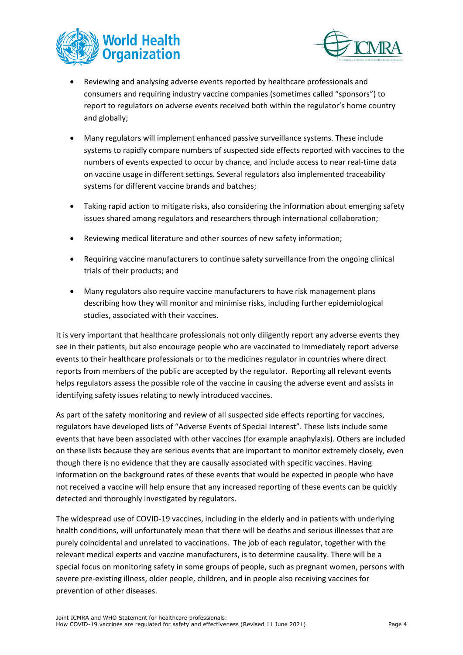



- Reviewing and analysing adverse events reported by healthcare professionals and consumers and requiring industry vaccine companies (sometimes called "sponsors") to report to regulators on adverse events received both within the regulator's home country and globally;
- Many regulators will implement enhanced passive surveillance systems. These include systems to rapidly compare numbers of suspected side effects reported with vaccines to the numbers of events expected to occur by chance, and include access to near real-time data on vaccine usage in different settings. Several regulators also implemented traceability systems for different vaccine brands and batches;
- Taking rapid action to mitigate risks, also considering the information about emerging safety issues shared among regulators and researchers through international collaboration;
- Reviewing medical literature and other sources of new safety information;
- Requiring vaccine manufacturers to continue safety surveillance from the ongoing clinical trials of their products; and
- Many regulators also require vaccine manufacturers to have risk management plans describing how they will monitor and minimise risks, including further epidemiological studies, associated with their vaccines.

It is very important that healthcare professionals not only diligently report any adverse events they see in their patients, but also encourage people who are vaccinated to immediately report adverse events to their healthcare professionals or to the medicines regulator in countries where direct reports from members of the public are accepted by the regulator. Reporting all relevant events helps regulators assess the possible role of the vaccine in causing the adverse event and assists in identifying safety issues relating to newly introduced vaccines.

As part of the safety monitoring and review of all suspected side effects reporting for vaccines, regulators have developed lists of "Adverse Events of Special Interest". These lists include some events that have been associated with other vaccines (for example anaphylaxis). Others are included on these lists because they are serious events that are important to monitor extremely closely, even though there is no evidence that they are causally associated with specific vaccines. Having information on the background rates of these events that would be expected in people who have not received a vaccine will help ensure that any increased reporting of these events can be quickly detected and thoroughly investigated by regulators.

The widespread use of COVID-19 vaccines, including in the elderly and in patients with underlying health conditions, will unfortunately mean that there will be deaths and serious illnesses that are purely coincidental and unrelated to vaccinations. The job of each regulator, together with the relevant medical experts and vaccine manufacturers, is to determine causality. There will be a special focus on monitoring safety in some groups of people, such as pregnant women, persons with severe pre-existing illness, older people, children, and in people also receiving vaccines for prevention of other diseases.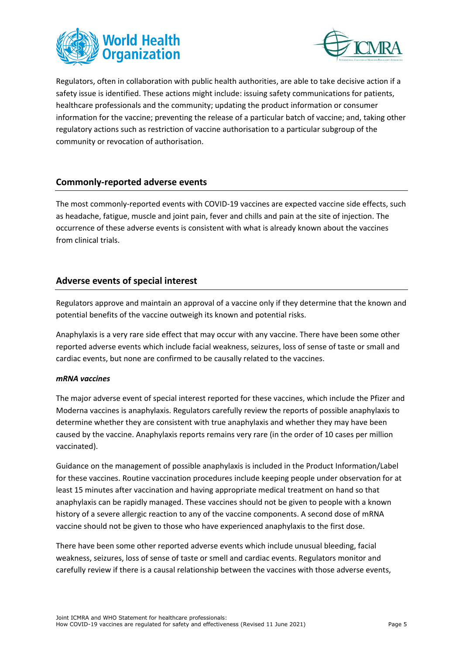



Regulators, often in collaboration with public health authorities, are able to take decisive action if a safety issue is identified. These actions might include: issuing safety communications for patients, healthcare professionals and the community; updating the product information or consumer information for the vaccine; preventing the release of a particular batch of vaccine; and, taking other regulatory actions such as restriction of vaccine authorisation to a particular subgroup of the community or revocation of authorisation.

## **Commonly-reported adverse events**

The most commonly-reported events with COVID-19 vaccines are expected vaccine side effects, such as headache, fatigue, muscle and joint pain, fever and chills and pain at the site of injection. The occurrence of these adverse events is consistent with what is already known about the vaccines from clinical trials.

## **Adverse events of special interest**

Regulators approve and maintain an approval of a vaccine only if they determine that the known and potential benefits of the vaccine outweigh its known and potential risks.

Anaphylaxis is a very rare side effect that may occur with any vaccine. There have been some other reported adverse events which include facial weakness, seizures, loss of sense of taste or small and cardiac events, but none are confirmed to be causally related to the vaccines.

#### *mRNA vaccines*

The major adverse event of special interest reported for these vaccines, which include the Pfizer and Moderna vaccines is anaphylaxis. Regulators carefully review the reports of possible anaphylaxis to determine whether they are consistent with true anaphylaxis and whether they may have been caused by the vaccine. Anaphylaxis reports remains very rare (in the order of 10 cases per million vaccinated).

Guidance on the management of possible anaphylaxis is included in the Product Information/Label for these vaccines. Routine vaccination procedures include keeping people under observation for at least 15 minutes after vaccination and having appropriate medical treatment on hand so that anaphylaxis can be rapidly managed. These vaccines should not be given to people with a known history of a severe allergic reaction to any of the vaccine components. A second dose of mRNA vaccine should not be given to those who have experienced anaphylaxis to the first dose.

There have been some other reported adverse events which include unusual bleeding, facial weakness, seizures, loss of sense of taste or smell and cardiac events. Regulators monitor and carefully review if there is a causal relationship between the vaccines with those adverse events,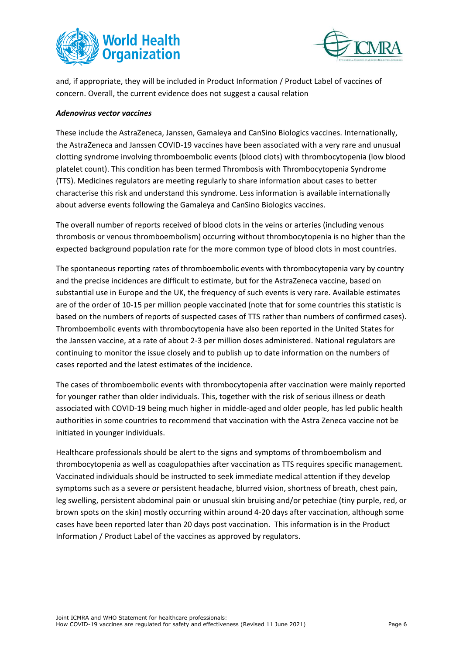



and, if appropriate, they will be included in Product Information / Product Label of vaccines of concern. Overall, the current evidence does not suggest a causal relation

#### *Adenovirus vector vaccines*

These include the AstraZeneca, Janssen, Gamaleya and CanSino Biologics vaccines. Internationally, the AstraZeneca and Janssen COVID-19 vaccines have been associated with a very rare and unusual clotting syndrome involving thromboembolic events (blood clots) with thrombocytopenia (low blood platelet count). This condition has been termed Thrombosis with Thrombocytopenia Syndrome (TTS). Medicines regulators are meeting regularly to share information about cases to better characterise this risk and understand this syndrome. Less information is available internationally about adverse events following the Gamaleya and CanSino Biologics vaccines.

The overall number of reports received of blood clots in the veins or arteries (including venous thrombosis or venous thromboembolism) occurring without thrombocytopenia is no higher than the expected background population rate for the more common type of blood clots in most countries.

The spontaneous reporting rates of thromboembolic events with thrombocytopenia vary by country and the precise incidences are difficult to estimate, but for the AstraZeneca vaccine, based on substantial use in Europe and the UK, the frequency of such events is very rare. Available estimates are of the order of 10-15 per million people vaccinated (note that for some countries this statistic is based on the numbers of reports of suspected cases of TTS rather than numbers of confirmed cases). Thromboembolic events with thrombocytopenia have also been reported in the United States for the Janssen vaccine, at a rate of about 2-3 per million doses administered. National regulators are continuing to monitor the issue closely and to publish up to date information on the numbers of cases reported and the latest estimates of the incidence.

The cases of thromboembolic events with thrombocytopenia after vaccination were mainly reported for younger rather than older individuals. This, together with the risk of serious illness or death associated with COVID-19 being much higher in middle-aged and older people, has led public health authorities in some countries to recommend that vaccination with the Astra Zeneca vaccine not be initiated in younger individuals.

Healthcare professionals should be alert to the signs and symptoms of thromboembolism and thrombocytopenia as well as coagulopathies after vaccination as TTS requires specific management. Vaccinated individuals should be instructed to seek immediate medical attention if they develop symptoms such as a severe or persistent headache, blurred vision, shortness of breath, chest pain, leg swelling, persistent abdominal pain or unusual skin bruising and/or petechiae (tiny purple, red, or brown spots on the skin) mostly occurring within around 4-20 days after vaccination, although some cases have been reported later than 20 days post vaccination. This information is in the Product Information / Product Label of the vaccines as approved by regulators.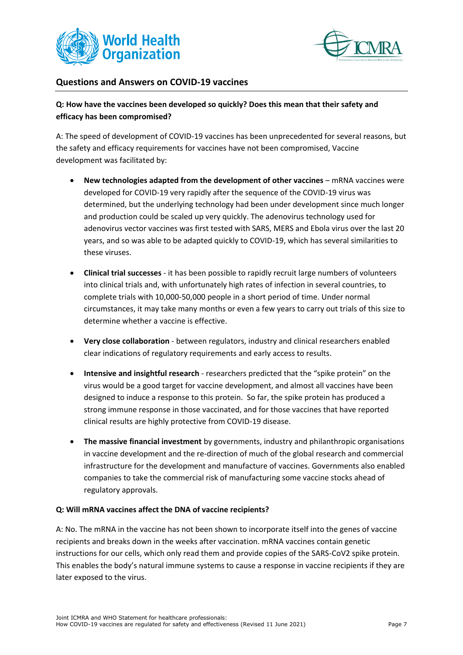



### **Questions and Answers on COVID-19 vaccines**

## **Q: How have the vaccines been developed so quickly? Does this mean that their safety and efficacy has been compromised?**

A: The speed of development of COVID-19 vaccines has been unprecedented for several reasons, but the safety and efficacy requirements for vaccines have not been compromised, Vaccine development was facilitated by:

- **New technologies adapted from the development of other vaccines** mRNA vaccines were developed for COVID-19 very rapidly after the sequence of the COVID-19 virus was determined, but the underlying technology had been under development since much longer and production could be scaled up very quickly. The adenovirus technology used for adenovirus vector vaccines was first tested with SARS, MERS and Ebola virus over the last 20 years, and so was able to be adapted quickly to COVID-19, which has several similarities to these viruses.
- **Clinical trial successes** it has been possible to rapidly recruit large numbers of volunteers into clinical trials and, with unfortunately high rates of infection in several countries, to complete trials with 10,000-50,000 people in a short period of time. Under normal circumstances, it may take many months or even a few years to carry out trials of this size to determine whether a vaccine is effective.
- **Very close collaboration** between regulators, industry and clinical researchers enabled clear indications of regulatory requirements and early access to results.
- **Intensive and insightful research** researchers predicted that the "spike protein" on the virus would be a good target for vaccine development, and almost all vaccines have been designed to induce a response to this protein. So far, the spike protein has produced a strong immune response in those vaccinated, and for those vaccines that have reported clinical results are highly protective from COVID-19 disease.
- **The massive financial investment** by governments, industry and philanthropic organisations in vaccine development and the re-direction of much of the global research and commercial infrastructure for the development and manufacture of vaccines. Governments also enabled companies to take the commercial risk of manufacturing some vaccine stocks ahead of regulatory approvals.

#### **Q: Will mRNA vaccines affect the DNA of vaccine recipients?**

A: No. The mRNA in the vaccine has not been shown to incorporate itself into the genes of vaccine recipients and breaks down in the weeks after vaccination. mRNA vaccines contain genetic instructions for our cells, which only read them and provide copies of the SARS-CoV2 spike protein. This enables the body's natural immune systems to cause a response in vaccine recipients if they are later exposed to the virus.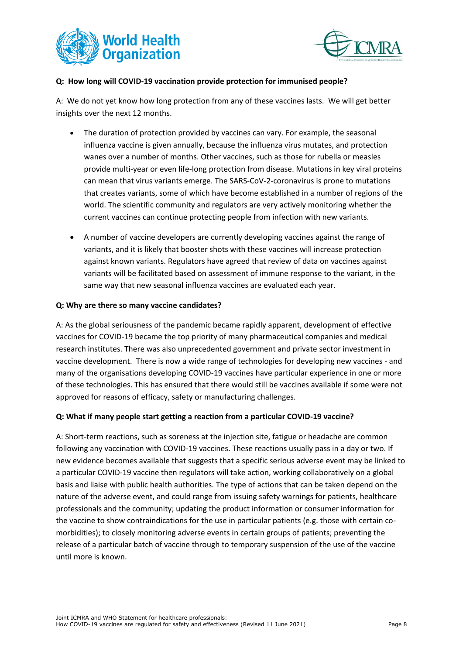



#### **Q: How long will COVID-19 vaccination provide protection for immunised people?**

A: We do not yet know how long protection from any of these vaccines lasts. We will get better insights over the next 12 months.

- The duration of protection provided by vaccines can vary. For example, the seasonal influenza vaccine is given annually, because the influenza virus mutates, and protection wanes over a number of months. Other vaccines, such as those for rubella or measles provide multi-year or even life-long protection from disease. Mutations in key viral proteins can mean that virus variants emerge. The SARS-CoV-2-coronavirus is prone to mutations that creates variants, some of which have become established in a number of regions of the world. The scientific community and regulators are very actively monitoring whether the current vaccines can continue protecting people from infection with new variants.
- A number of vaccine developers are currently developing vaccines against the range of variants, and it is likely that booster shots with these vaccines will increase protection against known variants. Regulators have agreed that review of data on vaccines against variants will be facilitated based on assessment of immune response to the variant, in the same way that new seasonal influenza vaccines are evaluated each year.

#### **Q: Why are there so many vaccine candidates?**

A: As the global seriousness of the pandemic became rapidly apparent, development of effective vaccines for COVID-19 became the top priority of many pharmaceutical companies and medical research institutes. There was also unprecedented government and private sector investment in vaccine development. There is now a wide range of technologies for developing new vaccines - and many of the organisations developing COVID-19 vaccines have particular experience in one or more of these technologies. This has ensured that there would still be vaccines available if some were not approved for reasons of efficacy, safety or manufacturing challenges.

#### **Q: What if many people start getting a reaction from a particular COVID-19 vaccine?**

A: Short-term reactions, such as soreness at the injection site, fatigue or headache are common following any vaccination with COVID-19 vaccines. These reactions usually pass in a day or two. If new evidence becomes available that suggests that a specific serious adverse event may be linked to a particular COVID-19 vaccine then regulators will take action, working collaboratively on a global basis and liaise with public health authorities. The type of actions that can be taken depend on the nature of the adverse event, and could range from issuing safety warnings for patients, healthcare professionals and the community; updating the product information or consumer information for the vaccine to show contraindications for the use in particular patients (e.g. those with certain comorbidities); to closely monitoring adverse events in certain groups of patients; preventing the release of a particular batch of vaccine through to temporary suspension of the use of the vaccine until more is known.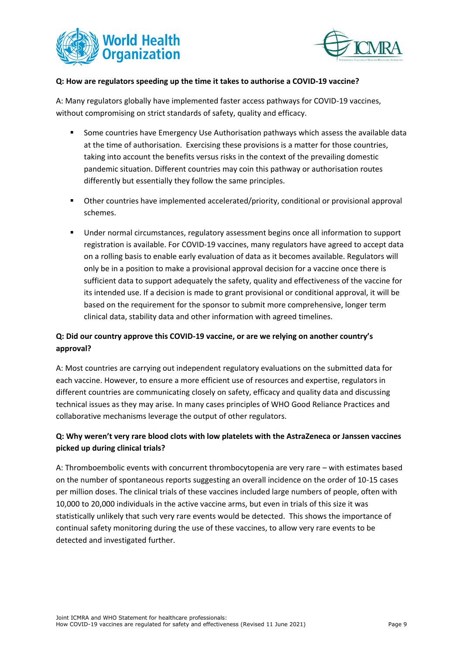



#### **Q: How are regulators speeding up the time it takes to authorise a COVID-19 vaccine?**

A: Many regulators globally have implemented faster access pathways for COVID-19 vaccines, without compromising on strict standards of safety, quality and efficacy.

- Some countries have Emergency Use Authorisation pathways which assess the available data at the time of authorisation. Exercising these provisions is a matter for those countries, taking into account the benefits versus risks in the context of the prevailing domestic pandemic situation. Different countries may coin this pathway or authorisation routes differently but essentially they follow the same principles.
- Other countries have implemented accelerated/priority, conditional or provisional approval schemes.
- Under normal circumstances, regulatory assessment begins once all information to support registration is available. For COVID-19 vaccines, many regulators have agreed to accept data on a rolling basis to enable early evaluation of data as it becomes available. Regulators will only be in a position to make a provisional approval decision for a vaccine once there is sufficient data to support adequately the safety, quality and effectiveness of the vaccine for its intended use. If a decision is made to grant provisional or conditional approval, it will be based on the requirement for the sponsor to submit more comprehensive, longer term clinical data, stability data and other information with agreed timelines.

## **Q: Did our country approve this COVID-19 vaccine, or are we relying on another country's approval?**

A: Most countries are carrying out independent regulatory evaluations on the submitted data for each vaccine. However, to ensure a more efficient use of resources and expertise, regulators in different countries are communicating closely on safety, efficacy and quality data and discussing technical issues as they may arise. In many cases principles of WHO Good Reliance Practices and collaborative mechanisms leverage the output of other regulators.

## **Q: Why weren't very rare blood clots with low platelets with the AstraZeneca or Janssen vaccines picked up during clinical trials?**

A: Thromboembolic events with concurrent thrombocytopenia are very rare – with estimates based on the number of spontaneous reports suggesting an overall incidence on the order of 10-15 cases per million doses. The clinical trials of these vaccines included large numbers of people, often with 10,000 to 20,000 individuals in the active vaccine arms, but even in trials of this size it was statistically unlikely that such very rare events would be detected. This shows the importance of continual safety monitoring during the use of these vaccines, to allow very rare events to be detected and investigated further.